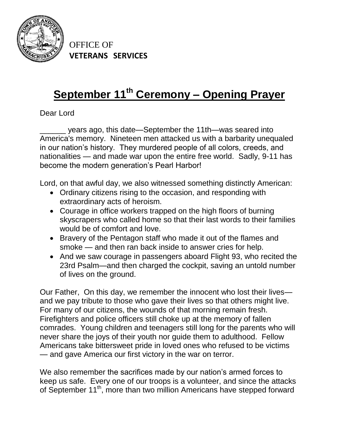

OFFICE OF **VETERANS SERVICES**

## **September 11th Ceremony – Opening Prayer**

Dear Lord

\_\_\_\_\_\_ years ago, this date—September the 11th—was seared into America's memory. Nineteen men attacked us with a barbarity unequaled in our nation's history. They murdered people of all colors, creeds, and nationalities — and made war upon the entire free world. Sadly, 9-11 has become the modern generation's Pearl Harbor!

Lord, on that awful day, we also witnessed something distinctly American:

- Ordinary citizens rising to the occasion, and responding with extraordinary acts of heroism.
- Courage in office workers trapped on the high floors of burning skyscrapers who called home so that their last words to their families would be of comfort and love.
- Bravery of the Pentagon staff who made it out of the flames and smoke — and then ran back inside to answer cries for help.
- And we saw courage in passengers aboard Flight 93, who recited the 23rd Psalm—and then charged the cockpit, saving an untold number of lives on the ground.

Our Father, On this day, we remember the innocent who lost their lives and we pay tribute to those who gave their lives so that others might live. For many of our citizens, the wounds of that morning remain fresh. Firefighters and police officers still choke up at the memory of fallen comrades. Young children and teenagers still long for the parents who will never share the joys of their youth nor guide them to adulthood. Fellow Americans take bittersweet pride in loved ones who refused to be victims — and gave America our first victory in the war on terror.

We also remember the sacrifices made by our nation's armed forces to keep us safe. Every one of our troops is a volunteer, and since the attacks of September 11<sup>th</sup>, more than two million Americans have stepped forward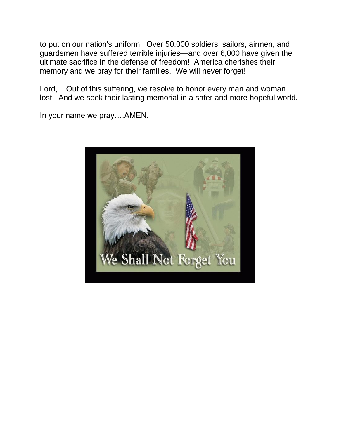to put on our nation's uniform. Over 50,000 soldiers, sailors, airmen, and guardsmen have suffered terrible injuries—and over 6,000 have given the ultimate sacrifice in the defense of freedom! America cherishes their memory and we pray for their families. We will never forget!

Lord, Out of this suffering, we resolve to honor every man and woman lost. And we seek their lasting memorial in a safer and more hopeful world.

In your name we pray….AMEN.

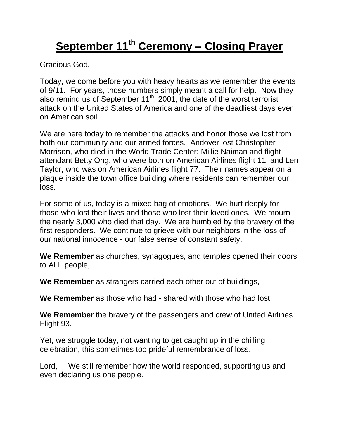## **September 11th Ceremony – Closing Prayer**

Gracious God,

Today, we come before you with heavy hearts as we remember the events of 9/11. For years, those numbers simply meant a call for help. Now they also remind us of September 11<sup>th</sup>, 2001, the date of the worst terrorist attack on the United States of America and one of the deadliest days ever on American soil.

We are here today to remember the attacks and honor those we lost from both our community and our armed forces. Andover lost Christopher Morrison, who died in the World Trade Center; Millie Naiman and flight attendant Betty Ong, who were both on American Airlines flight 11; and Len Taylor, who was on American Airlines flight 77. Their names appear on a plaque inside the town office building where residents can remember our loss.

For some of us, today is a mixed bag of emotions. We hurt deeply for those who lost their lives and those who lost their loved ones. We mourn the nearly 3,000 who died that day. We are humbled by the bravery of the first responders. We continue to grieve with our neighbors in the loss of our national innocence - our false sense of constant safety.

**We Remember** as churches, synagogues, and temples opened their doors to ALL people,

**We Remember** as strangers carried each other out of buildings,

**We Remember** as those who had - shared with those who had lost

**We Remember** the bravery of the passengers and crew of United Airlines Flight 93.

Yet, we struggle today, not wanting to get caught up in the chilling celebration, this sometimes too prideful remembrance of loss.

Lord, We still remember how the world responded, supporting us and even declaring us one people.